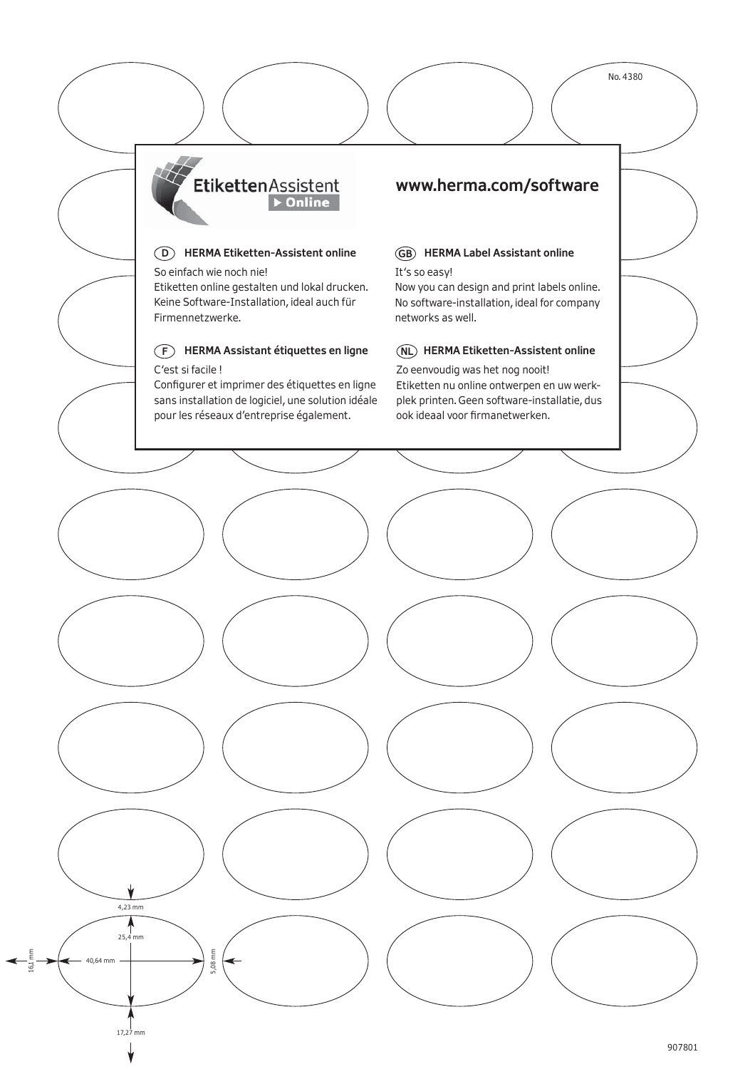**Etiketten** Assistent  $\triangleright$  Online

**D HERMA Etiketten-Assistent online** So einfach wie noch nie! Etiketten online gestalten und lokal drucken. Keine Software-Installation, ideal auch für Firmennetzwerke.

# **F HERMA Assistant étiquettes en ligne**

## C'est si facile !

Configurer et imprimer des étiquettes en ligne sans installation de logiciel, une solution idéale pour les réseaux d'entreprise également.

# **www.herma.com/software**

# **Case Assistant on the U.S. Assistant online**<br>It's so easy!

Now you can design and print labels online. No software-installation, ideal for company networks as well.

**NL HERMA Etiketten-Assistent online** Zo eenvoudig was het nog nooit! Etiketten nu online ontwerpen en uw werkplek printen. Geen software-installatie, dus ook ideaal voor firmanetwerken.

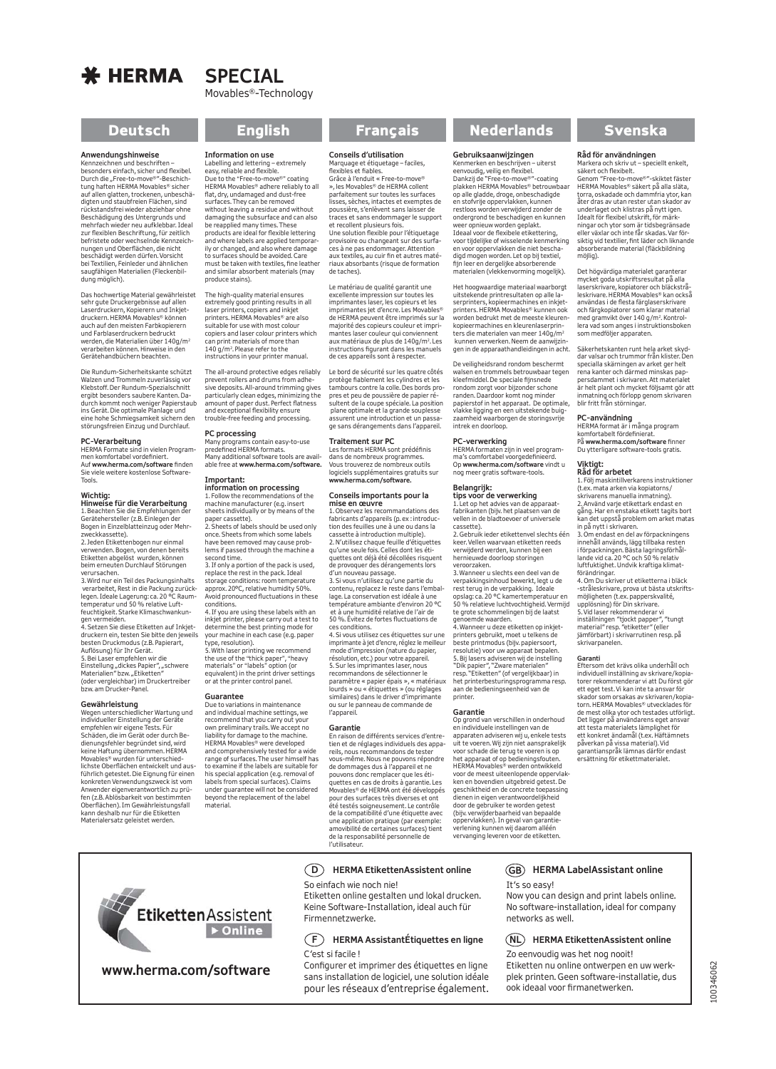# $*$  HERMA

# **SPECIAL** Movables®-Technology

**Anwendungshinweise**<br>Kennzeichnen und beschriften –<br>besonders einfach, sicher und flexibel.<br>Durch die "Free-to-move®"-Beschich-<br>tung haften HERMA Movables® sicher auf allen glatten, trockenen, unbeschä-<br>digten und staubfreien Flächen, sind digten und staubfreien Flächen, sind rückstandsfrei wieder abziehbar ohne Beschädigung des Untergrunds und mehrfach wieder neu aufklebbar. Ideal zur flexiblen Beschriftung, für zeitlich<br>befristete oder wechselnde Kennzeich-<br>nungen und Oberflächen, die nicht<br>beschädigt werden dürfen. Vorsicht<br>bei Textilien, Feinleder und ähnlichen<br>saugfähigen Materialien (Fleckenbil dung möglich).

Das hochwertige Material gewährleistet sehr gute Druckergebnisse auf allen Laserdruckern, Kopierern und Inkjet-druckern. HERMA Movables® können auch auf den meisten Farbkopierern und Farblaserdruckern bedruckt<br>werden, die Materialien über 140g/m<sup>2</sup> verarbeiten können. Hinweise in den Gerätehandbüchern beachten.

Die Rundum-Sicherheitskante schützt Walzen und Trommeln zuverlässig vor Klebstoff. Der Rundum-Spezialschnitt ergibt besonders saubere Kanten. Dadurch kommt noch weniger Papierstaub ins Gerät. Die optimale Planlage und eine hohe Schmiegsamkeit sichern den störungsfreien Einzug und Durchlauf.

**PC-Verarbeitung** HERMA Formate sind in vielen Program-men komfortabel vordefiniert. Auf **www.herma.com/software** finden Sie viele weitere kostenlose Software-Tools.

## **Wichtig:**

**Hinweise für die Verarbeitung**<br>1. Beachten Sie die Empfehlungen der<br>Gerätehersteller (z.B. Einlegen der Bogen in Einzelblatteinzug oder Mehr-zweckkassette). 2. Jeden Etikettenbogen nur einmal

verwenden. Bogen, von denen bereits Etiketten abgelöst wurden, können

beim erneuten Durchlauf Störungen<br>verursachen.<br>3. Wird nur ein Teil des Packungsinhalts<br>verarbeitet, Rest in die Packung zurück-<br>legen. Ideale Lagerung: ca. 20 °C Raum-<br>temperatur und 50 % relative Luftfeuchtigkeit. Starke Klimaschwankungen vermeiden. 4. Setzen Sie diese Etiketten auf Inkjet-

druckern ein, testen Sie bitte den jeweils

besten Druckmodus (z.B. Papierart,<br>Auflösung) für Ihr Gerät.<br>5. Bei Laser empfehlen wir die<br>Einstellung "dickes Papier", "schwere<br>Materialien" bzw. "Etiketten"<br>(oder vergleichbar) im Druckertreiber bzw. am Drucker-Panel.

**Gewährleistung**<br>Wegen unterschiedlicher Wartung und<br>individueller Einstellung der Geräte empfehlen wir eigene Tests. Für Schäden, die im Gerät oder durch Bedienungsfehler begründet sind, wird keine Haftung übernommen. HERMA Movables® wurden für unterschied-lichste Oberflächen entwickelt und ausführlich getestet. Die Eignung für einen konkreten Verwendungszweck ist vom Anwender eigenverantwortlich zu prü-fen (z.B. Ablösbarkeit von bestimmten Oberflächen). Im Gewährleistungsfall kann deshalb nur für die Etiketten Materialersatz geleistet werden.

Labelling and lettering – extremely easy, reliable and flexible. Due to the "Free-to-move®" coating HERMA Movables® adhere reliably to all flat, dry, undamaged and dust-free surfaces. They can be removed without leaving a residue and without damaging the subsurface and can also be reapplied many times. These products are ideal for flexible lettering and where labels are applied temporar-ily or changed, and also where damage to surfaces should be avoided. Care must be taken with textiles, fine leather and similar absorbent materials (may

The high-quality material ensures extremely good printing results in all laser printers, copiers and inkjet printers. HERMA Movables® are also suitable for use with most colour copiers and laser colour printers which can print materials of more than can print materials of more in instructions in your printer manual. The all-around protective edges reliably prevent rollers and drums from adhe-sive deposits. All-around trimming gives particularly clean edges, minimizing the amount of paper dust. Perfect flatness and exceptional flexibility ensure trouble-free feeding and processing.

**PC processing** Many programs contain easy-to-use predefined HERMA formats. Many additional software tools are available free at **www.herma.com/software.** 

**Important: information on processing** 1. Follow the recommendations of the machine manufacturer (e.g. insert sheets individually or by means of the paper cassette). 2. Sheets of labels should be used only once. Sheets from which some labels have been removed may cause problems if passed through the machine a<br>second time. second time. 3. If only a portion of the pack is used, replace the rest in the pack. Ideal storage conditions: room temperature approx. 20°C, relative humidity 50%. Avoid pronounced fluctuations in these

4. If you are using these labels with an inkjet printer, please carry out a test to determine the best printing mode for your machine in each case (e.g. paper type, resolution). 5. With laser printing we recommend the use of the "thick paper", "heavy materials" or "labels" option (or equivalent) in the print driver settings or at the printer control panel.

Due to variations in maintenance and individual machine settings, we recommend that you carry out your own preliminary trails. We accept no liability for damage to the machine. HERMA Movables® were developed and comprehensively tested for a wide range of surfaces. The user himself has to examine if the labels are suitable for his special application (e.g. removal of labels from special surfaces). Claims under guarantee will not be considered beyond the replacement of the label

conditions.

**Guarantee**

material.

**Conseils d'utilisation**<br>Marquage et étiquetage – faciles,<br>flexibles et fiables.<br>Grâce à l'enduit « Free-to-move® », les Movables® de HERMA collent parfaitement sur toutes les surfaces lisses, sèches, intactes et exemptes de poussière, s'enlèvent sans laisser de traces et sans endommager le support et recollent plusieurs fois. et recollent plusieurs iois.<br>Une solution flexible pour l'étiquetage provisoire ou changeant sur des surfa-ces à ne pas endommager. Attention aux textiles, au cuir fin et autres matériaux absorbants (risque de formation de taches).

Le matériau de qualité garantit une<br>excellente impression sur toutes les<br>imprimantes laser, les copieurs et les<br>imprimantes jet d'encre. Les Movables®<br>de HERMA peuvent être imprimés sur la majorité des copieurs couleur et imprimantes laser couleur qui conviennent aux matériaux de plus de 140g/m2. Les instructions figurant dans les manuels de ces appareils sont à respecter.

Le bord de sécurité sur les quatre côtés protège fiablement les cylindres et les tambours contre la colle. Des bords propres et peu de poussière de papier résultent de la coupe spéciale. La position plane optimale et la grande souplesse assurent une introduction et un passage sans dérangements dans l'appareil.

**Traitement sur PC** Les formats HERMA sont prédéfinis dans de nombreux programmes. Vous trouverez de nombreux outils logiciels supplémentaires gratuits sur **www.herma.com/software.**

## **Conseils importants pour la mise en œuvre**

1. Observez les recommandations des fabricants d'appareils (p. ex : introduc-tion des feuilles une à une ou dans la cassette à introduction multiple). 2. N'utilisez chaque feuille d'étiquettes qu'une seule fois. Celles dont les étiquettes ont déjà été décollées risquent de provoquer des dérangements lors d'un nouveau passage. 3. Si vous n'utilisez qu'une partie du

contenu, replacez le reste dans l'emballage. La conservation est idéale à une température ambiante d'environ 20 °C et à une humidité relative de l'air de 50 %. Évitez de fortes fluctuations de ces conditions. 4. Si vous utilisez ces étiquettes sur une

imprimante à jet d'encre, réglez le meilleur mode d'impression (nature du papier, résolution, etc.) pour votre appareil. 5. Sur les imprimantes laser, nous recommandons de sélectionner le paramètre « papier épais », « matériaux lourds » ou « étiquettes » (ou réglages similaires) dans le driver d'imprimante ou sur le panneau de commande de l'apparei

## **Garantie**

En raison de différents services d'entretien et de réglages individuels des appa-reils, nous recommandons de tester vous-même. Nous ne pouvons répondre de dommages dus à l'appareil et ne pouvons donc remplacer que les éti-quettes en cas de droits à garantie. Les Movables® de HERMA ont été développés pour des surfaces très diverses et ont été testés soigneusement. Le contrôle de la compatibilité d'une étiquette avec une application pratique (par exemple: amovibilité de certaines surfaces) tient de la responsabilité personnelle de l'utilisateur.

## **D HERMA EtikettenAssistent online**

So einfach wie noch nie!

Etiketten online gestalten und lokal drucken. Keine Software-Installation, ideal auch für Firmennetzwerke.

## **F HERMA AssistantÉtiquettes en ligne** C'est si facile !

Configurer et imprimer des étiquettes en ligne sans installation de logiciel, une solution idéale pour les réseaux d'entreprise également.

# Deutsch English Français Nederlands Svenska

**Gebruiksaanwijzingen**<br>Kenmerken en beschrijven – uiterst<br>eenvoudig, veilig en flexibel.<br>Dankzij de "Free-to-move®"-coating<br>plakken HERMA Movables® betrouwbaar op alle gladde, droge, onbeschadigde en stofvrije oppervlakken, kunnen restloos worden verwijderd zonder de ondergrond te beschadigen en kunnen weer opnieuw worden geplakt. Ideaal voor de flexibele etikettering, voor tijdelijke of wisselende kenmerking en voor oppervlakken die niet bescha-digd mogen worden. Let op bij textiel, fijn leer en dergelijke absorberende materialen (vlekkenvorming mogelijk).

Het hoogwaardige materiaal waarborgt<br>uitstekende printresultaten op alle la-<br>serprinters, kopieermachines en inkjet-<br>printers. HERMA Movables® kunnen ook .<br>worden bedrukt met de meeste kleuren kopieermachines en kleurenlaserprinters die materialen van meer 140g/m2 kunnen verwerken. Neem de aanwijzingen in de apparaathandleidingen in acht.

De veiligheidsrand rondom beschermt walsen en trommels betrouwbaar tegen kleefmiddel. De speciale fijnsnede rondom zorgt voor bijzonder schone randen. Daardoor komt nog minder papierstof in het apparaat. De optimale, vlakke ligging en een uitstekende buig-zaamheid waarborgen de storingsvrije intrek en doorloop.

## **PC-verwerking**

HERMA formaten zijn in veel programma's comfortabel voorgedefinieerd. Op **www.herma.com/software** vindt u nog meer gratis software-tools.

# **Belangrijk: tips voor de verwerking**

1. Let op het advies van de apparaat-fabrikanten (bijv. het plaatsen van de vellen in de bladtoevoer of universele cassette). 2. Gebruik ieder etikettenvel slechts één

keer. Vellen waarvaan etiketten reeds verwijderd werden, kunnen bij een hernieuwde doorloop storingen

veroorzaken. 3. Wanneer u slechts een deel van de verpakkingsinhoud bewerkt, legt u de rest terug in de verpakking. Ideale opslag: ca. 20 °C kamertemperatuur en 50 % relatieve luchtvochtigheid. Vermijd te grote schommelingen bij de laatst genoemde waarden. 4. Wanneer u deze etiketten op inkjet-

printers gebruikt, moet u telkens de beste printmodus (bijv. papiersoort,<br>resolutie) voor uw apparaat bepalen.<br>5. Bij lasers adviseren wij de instelling<br>"Dik papier", "Zware materialen"<br>resp. "Etiketten" (of vergelijkbaar) in<br>het printerbesturingsprogramma re aan de bedieningseenheid van de printer.

**Garantie**<br>Op grond van verschillen in onderhoud<br>en individuele instellingen van de apparaten adviseren wij u, enkele tests<br>uit te voeren. Wij zijn niet aansprakelijk<br>voor schade die terug te voeren is op<br>het apparaat of op bedieningsfouten.<br>HERMA Movables® werden ontwikkeld voor de meest uiteenlopende oppervlakken en bovendien uitgebreid getest. De geschiktheid en de concrete toepassing dienen in eigen verantwoordelijkheid door de gebruiker te worden getest (bijv. verwijderbaarheid van bepaalde oppervlakken). In geval van garantieverlening kunnen wij daarom alléén vervanging leveren voor de etiketten.

# **Råd för användningen**<br>Markera och skriv ut – speciellt enkelt,<br>säkert och flexibelt.<br>Genom "Free-to-move®"-skiktet fäster HERMA Movables® säkert på alla släta,

torra, oskadade och dammfria ytor, kan<br>åter dras av utan rester utan skador av åter dras av utan rester utan skador av underlaget och klistras på nytt igen. Idealt för flexibel utskrift, för märk-ningar och ytor som är tidsbegränsade eller växlar och inte får skadas. Var försiktig vid textilier, fint läder och liknande absorberande material (fläckbildning möjlig).

Det högvärdiga materialet garanterar mycket goda utskriftsresultat på alla laserskrivare, kopiatorer och bläckstrå-leskrivare. HERMA Movables® kan också användas i de flesta färglaserskrivare och färgkopiatorer som klarar material med gramvikt över 140 g/m2. Kontrollera vad som anges i instruktionsboken som medföljer apparaten.

Säkerhetskanten runt hela arket skyddar valsar och trummor från klister. Den specialla skärningen av arket ger helt rena kanter och därmed minskas pappersdammet i skrivaren. Att materialet är helt plant och mycket följsamt gör att inmatning och förlopp genom skrivaren blir fritt från störningar.

**PC-användning**<br>HERMA format är i många program<br>komfortabelt fördefinierat.<br>På **www.herma.com/software** finner<br>Du ytterligare software-tools gratis.

# **Viktigt: Råd för arbetet**

1. Följ maskintillverkarens instruktioner (t.ex. mata arken via kopiatorns/ skrivarens manuella inmatning). 2. Använd varje etikettark endast en gång. Har en enstaka etikett tagits bort<br>kan det uppstå problem om arket matas<br>in på nytt i skrivaren.<br>3. Om endast en del av förpackningens<br>innehåll används, lägg tillbaka resten

i förpackningen. Bästa lagringsförhål-lande vid ca. 20 °C och 50 % relativ luftfuktighet. Undvik kraftiga klimat-

förändringar. 4. Om Du skriver ut etiketterna i bläck -stråleskrivare, prova ut bästa utskriftsmöjligheten (t.ex. papperskvalité, upplösning) för Din skrivare. 5. Vid laser rekommenderar vi inställningen "tjockt papper", "tungt material" resp. "etiketter" (eller jämförbart) i skrivarrutinen resp. på skrivarpanelen.

**Garanti**<br>Eftersom det krävs olika underhåll och<br>individuell inställning av skrivare/kopia-<br>torer rekommenderar vi att Du först gör ett eget test. Vi kan inte ta ansvar för skador som orsakas av skrivaren/kopiatorn. HERMA Movables® utvecklades för de mest olika ytor och testades utförligt. Det ligger på användarens eget ansvar att testa materialets lämplighet för ett konkret ändamål (t.ex. Häftämnets påverkan på vissa material). Vid garantianspråk lämnas därför endast ersättning för etikettmaterialet.

**Etiketten** Assistent Dolline

# **www.herma.com/software**

## **GB HERMA LabelAssistant online** It's so easy!

Now you can design and print labels online. No software-installation, ideal for company networks as well.

## **NL HERMA EtikettenAssistent online**

Zo eenvoudig was het nog nooit! Etiketten nu online ontwerpen en uw werkplek printen. Geen software-installatie, dus ook ideaal voor firmanetwerken.



**Information on use**

produce stains).